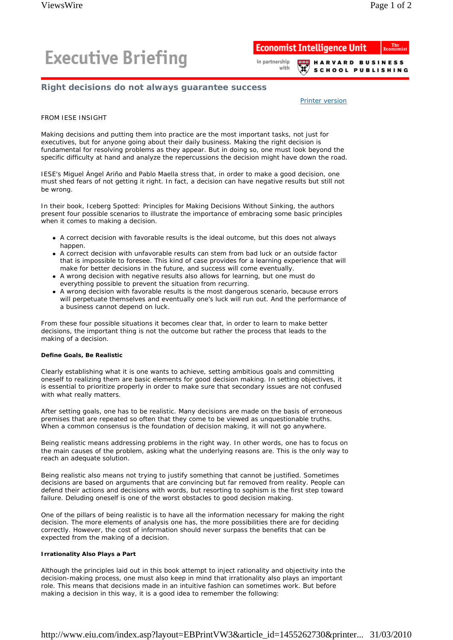# **Executive Briefing**

#### **Economist Intelligence Unit** in partnership **HARVARD BUSINESS** with

**SCHOOL PUBLISHING** 

# **Right decisions do not always guarantee success**

Printer version

## FROM IESE INSIGHT

Making decisions and putting them into practice are the most important tasks, not just for executives, but for anyone going about their daily business. Making the right decision is fundamental for resolving problems as they appear. But in doing so, one must look beyond the specific difficulty at hand and analyze the repercussions the decision might have down the road.

IESE's Miguel Ángel Ariño and Pablo Maella stress that, in order to make a good decision, one must shed fears of not getting it right. In fact, a decision can have negative results but still not be wrong.

In their book, *Iceberg Spotted: Principles for Making Decisions Without Sinking*, the authors present four possible scenarios to illustrate the importance of embracing some basic principles when it comes to making a decision.

- A correct decision with favorable results is the ideal outcome, but this does not always happen.
- A correct decision with unfavorable results can stem from bad luck or an outside factor that is impossible to foresee. This kind of case provides for a learning experience that will make for better decisions in the future, and success will come eventually.
- A wrong decision with negative results also allows for learning, but one must do everything possible to prevent the situation from recurring.
- A wrong decision with favorable results is the most dangerous scenario, because errors will perpetuate themselves and eventually one's luck will run out. And the performance of a business cannot depend on luck.

From these four possible situations it becomes clear that, in order to learn to make better decisions, the important thing is not the outcome but rather the process that leads to the making of a decision.

### **Define Goals, Be Realistic**

Clearly establishing what it is one wants to achieve, setting ambitious goals and committing oneself to realizing them are basic elements for good decision making. In setting objectives, it is essential to prioritize properly in order to make sure that secondary issues are not confused with what really matters.

After setting goals, one has to be realistic. Many decisions are made on the basis of erroneous premises that are repeated so often that they come to be viewed as unquestionable truths. When a common consensus is the foundation of decision making, it will not go anywhere.

Being realistic means addressing problems in the right way. In other words, one has to focus on the main causes of the problem, asking what the underlying reasons are. This is the only way to reach an adequate solution.

Being realistic also means not trying to justify something that cannot be justified. Sometimes decisions are based on arguments that are convincing but far removed from reality. People can defend their actions and decisions with words, but resorting to sophism is the first step toward failure. Deluding oneself is one of the worst obstacles to good decision making.

One of the pillars of being realistic is to have all the information necessary for making the right decision. The more elements of analysis one has, the more possibilities there are for deciding correctly. However, the cost of information should never surpass the benefits that can be expected from the making of a decision.

### **Irrationality Also Plays a Part**

Although the principles laid out in this book attempt to inject rationality and objectivity into the decision-making process, one must also keep in mind that irrationality also plays an important role. This means that decisions made in an intuitive fashion can sometimes work. But before making a decision in this way, it is a good idea to remember the following: